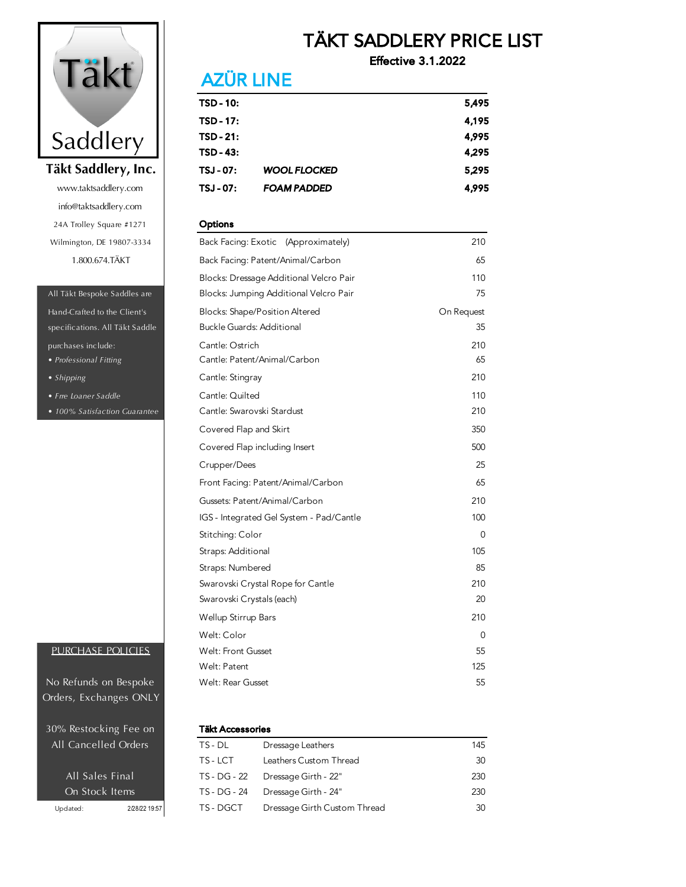

info@taktsaddlery.com 24A Trolley Square #1271 Wilmington, DE 19807-3334 1.800.674.TÄKT www.taktsaddlery.com

#### All Täkt Bespoke Saddles are

specifications. All Täkt Saddle *• Professional Fitting* Hand-Crafted to the Client's purchases include:

- *Shipping*
- *Frre Loaner Saddle*
- *100% Satisfaction Guarantee*

### PURCHASE POLICIES

Orders, Exchanges ONLY No Refunds on Bespoke

30% Restocking Fee on All Cancelled Orders

## TÄKT SADDLERY PRICE LIST

Effective 3.1.2022

# **AZÜR LINE**

| TSD - 10: |                     | 5,495 |
|-----------|---------------------|-------|
| TSD - 17: |                     | 4,195 |
| TSD - 21: |                     | 4,995 |
| TSD - 43: |                     | 4,295 |
| TSJ - 07: | <b>WOOL FLOCKED</b> | 5,295 |
| TSJ - 07: | <b>FOAM PADDED</b>  | 4,995 |

#### **Options**

| Back Facing: Exotic (Approximately)      | 210        |
|------------------------------------------|------------|
| Back Facing: Patent/Animal/Carbon        | 65         |
| Blocks: Dressage Additional Velcro Pair  | 110        |
| Blocks: Jumping Additional Velcro Pair   | 75         |
| <b>Blocks: Shape/Position Altered</b>    | On Request |
| <b>Buckle Guards: Additional</b>         | 35         |
| Cantle: Ostrich                          | 210        |
| Cantle: Patent/Animal/Carbon             | 65         |
| Cantle: Stingray                         | 210        |
| Cantle: Quilted                          | 110        |
| Cantle: Swarovski Stardust               | 210        |
| Covered Flap and Skirt                   | 350        |
| Covered Flap including Insert            | 500        |
| Crupper/Dees                             | 25         |
| Front Facing: Patent/Animal/Carbon       | 65         |
| Gussets: Patent/Animal/Carbon            | 210        |
| IGS - Integrated Gel System - Pad/Cantle | 100        |
| Stitching: Color                         | 0          |
| Straps: Additional                       | 105        |
| Straps: Numbered                         | 85         |
| Swarovski Crystal Rope for Cantle        | 210        |
| Swarovski Crystals (each)                | 20         |
| Wellup Stirrup Bars                      | 210        |
| Welt: Color                              | 0          |
| <b>Welt: Front Gusset</b>                | 55         |
| Welt: Patent                             | 125        |
| Welt: Rear Gusset                        | 55         |

#### Täkt Accessories

| <b>All Cancelled Orders</b> |               | TS - DL      | Dressage Leathers            | 145 |
|-----------------------------|---------------|--------------|------------------------------|-----|
|                             |               | TS-LCT       | Leathers Custom Thread       | 30  |
| All Sales Final             |               | TS - DG - 22 | Dressage Girth - 22"         | 230 |
| On Stock Items              |               | TS - DG - 24 | Dressage Girth - 24"         | 230 |
| Updated:                    | 2/28/22 19:57 | TS - DGCT    | Dressage Girth Custom Thread | 30  |